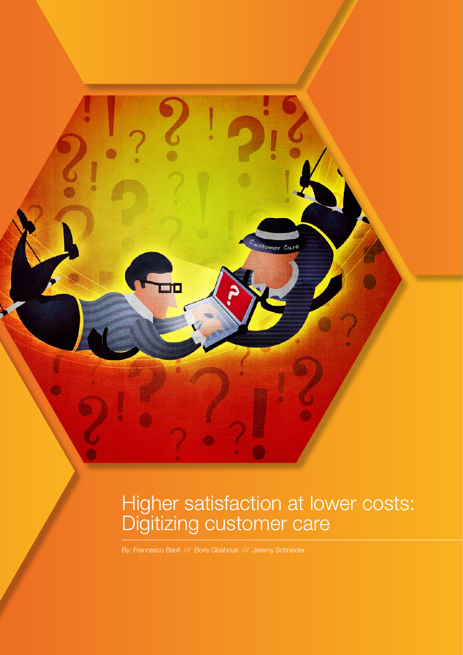Higher satisfaction at lower costs: Digitizing customer care

<sup>48</sup> comer Care

By: Francesco Banfi /// Boris Gbahoué /// Jeremy Schneider

ᆱ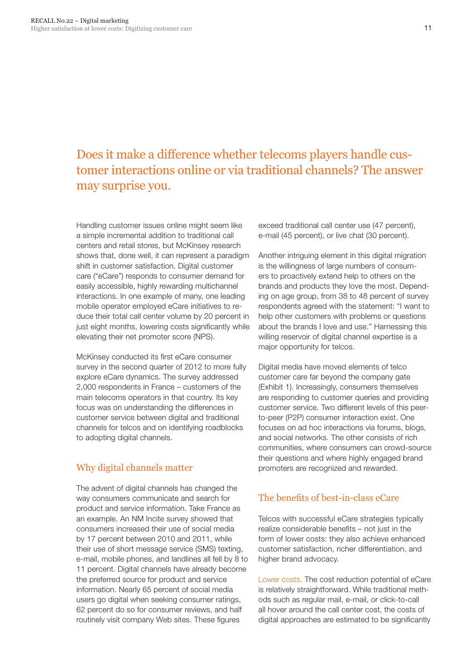# Does it make a difference whether telecoms players handle customer interactions online or via traditional channels? The answer may surprise you.

Handling customer issues online might seem like a simple incremental addition to traditional call centers and retail stores, but McKinsey research shows that, done well, it can represent a paradigm shift in customer satisfaction. Digital customer care ("eCare") responds to consumer demand for easily accessible, highly rewarding multichannel interactions. In one example of many, one leading mobile operator employed eCare initiatives to reduce their total call center volume by 20 percent in just eight months, lowering costs significantly while elevating their net promoter score (NPS).

McKinsey conducted its first eCare consumer survey in the second quarter of 2012 to more fully explore eCare dynamics. The survey addressed 2,000 respondents in France – customers of the main telecoms operators in that country. Its key focus was on understanding the differences in customer service between digital and traditional channels for telcos and on identifying roadblocks to adopting digital channels.

### Why digital channels matter

The advent of digital channels has changed the way consumers communicate and search for product and service information. Take France as an example. An NM Incite survey showed that consumers increased their use of social media by 17 percent between 2010 and 2011, while their use of short message service (SMS) texting, e-mail, mobile phones, and landlines all fell by 8 to 11 percent. Digital channels have already become the preferred source for product and service information. Nearly 65 percent of social media users go digital when seeking consumer ratings, 62 percent do so for consumer reviews, and half routinely visit company Web sites. These figures

exceed traditional call center use (47 percent), e-mail (45 percent), or live chat (30 percent).

Another intriguing element in this digital migration is the willingness of large numbers of consumers to proactively extend help to others on the brands and products they love the most. Depending on age group, from 38 to 48 percent of survey respondents agreed with the statement: "I want to help other customers with problems or questions about the brands I love and use." Harnessing this willing reservoir of digital channel expertise is a major opportunity for telcos.

Digital media have moved elements of telco customer care far beyond the company gate (Exhibit 1). Increasingly, consumers themselves are responding to customer queries and providing customer service. Two different levels of this peerto-peer (P2P) consumer interaction exist. One focuses on ad hoc interactions via forums, blogs, and social networks. The other consists of rich communities, where consumers can crowd-source their questions and where highly engaged brand promoters are recognized and rewarded.

## The benefits of best-in-class eCare

Telcos with successful eCare strategies typically realize considerable benefits – not just in the form of lower costs: they also achieve enhanced customer satisfaction, richer differentiation, and higher brand advocacy.

Lower costs. The cost reduction potential of eCare is relatively straightforward. While traditional methods such as regular mail, e-mail, or click-to-call all hover around the call center cost, the costs of digital approaches are estimated to be significantly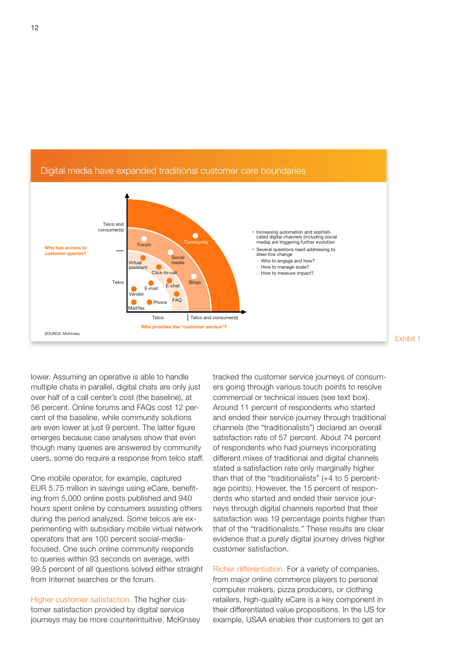

Digital media have expanded traditional customer care boundaries Digital media have expanded traditional customer care boundaries

lower. Assuming an operative is able to handle multiple chats in parallel, digital chats are only just over half of a call center's cost (the baseline), at 56 percent. Online forums and FAQs cost 12 percent of the baseline, while community solutions are even lower at just 9 percent. The latter figure emerges because case analyses show that even though many queries are answered by community users, some do require a response from telco staff.

One mobile operator, for example, captured EUR 5.75 million in savings using eCare, benefiting from 5,000 online posts published and 940 hours spent online by consumers assisting others during the period analyzed. Some telcos are experimenting with subsidiary mobile virtual network operators that are 100 percent social-mediafocused. One such online community responds to queries within 93 seconds on average, with 99.5 percent of all questions solved either straight from Internet searches or the forum.

Higher customer satisfaction. The higher customer satisfaction provided by digital service journeys may be more counterintuitive. McKinsey tracked the customer service journeys of consumers going through various touch points to resolve commercial or technical issues (see text box). Around 11 percent of respondents who started and ended their service journey through traditional channels (the "traditionalists") declared an overall satisfaction rate of 57 percent. About 74 percent of respondents who had journeys incorporating different mixes of traditional and digital channels stated a satisfaction rate only marginally higher than that of the "traditionalists" (+4 to 5 percentage points). However, the 15 percent of respondents who started and ended their service journeys through digital channels reported that their satisfaction was 19 percentage points higher than that of the "traditionalists." These results are clear evidence that a purely digital journey drives higher customer satisfaction.

Richer differentiation. For a variety of companies, from major online commerce players to personal computer makers, pizza producers, or clothing retailers, high-quality eCare is a key component in their differentiated value propositions. In the US for example, USAA enables their customers to get an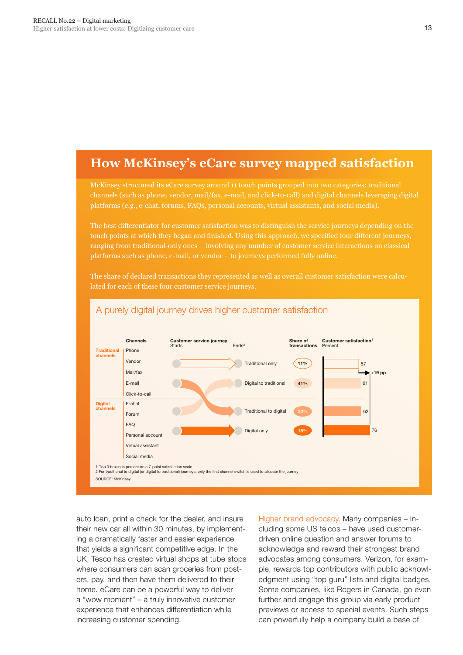## **How McKinsey's eCare survey mapped satisfaction**

McKinsey structured its eCare survey around 11 touch points grouped into two categories: traditional platforms (e.g., e-chat, forums, FAQs, personal accounts, virtual assistants, and social media).

The best differentiator for customer satisfaction was to distinguish the service journeys depending on the touch points at which they began and finished. Using this approach, we specified four different journeys, ranging from traditional-only ones – involving any number of customer service interactions on classical

The share of declared transactions they represented as well as overall customer satisfaction were calculated for each of these four customer service journeys.



### A purely digital journey drives higher customer satisfaction

auto loan, print a check for the dealer, and insure their new car all within 30 minutes, by implementing a dramatically faster and easier experience that yields a significant competitive edge. In the UK, Tesco has created virtual shops at tube stops where consumers can scan groceries from posters, pay, and then have them delivered to their home. eCare can be a powerful way to deliver a "wow moment" – a truly innovative customer experience that enhances differentiation while increasing customer spending.

Higher brand advocacy. Many companies – including some US telcos – have used customerdriven online question and answer forums to acknowledge and reward their strongest brand advocates among consumers. Verizon, for example, rewards top contributors with public acknowledgment using "top guru" lists and digital badges. Some companies, like Rogers in Canada, go even further and engage this group via early product previews or access to special events. Such steps can powerfully help a company build a base of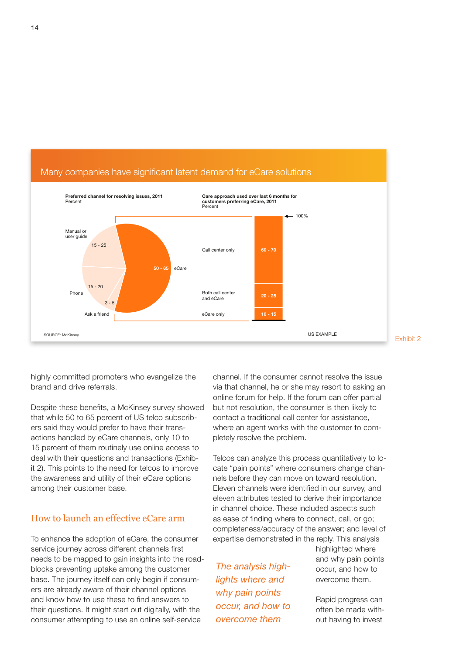

highly committed promoters who evangelize the brand and drive referrals.

Despite these benefits, a McKinsey survey showed that while 50 to 65 percent of US telco subscribers said they would prefer to have their transactions handled by eCare channels, only 10 to 15 percent of them routinely use online access to deal with their questions and transactions (Exhibit 2). This points to the need for telcos to improve the awareness and utility of their eCare options among their customer base.

#### How to launch an effective eCare arm

To enhance the adoption of eCare, the consumer service journey across different channels first needs to be mapped to gain insights into the roadblocks preventing uptake among the customer base. The journey itself can only begin if consumers are already aware of their channel options and know how to use these to find answers to their questions. It might start out digitally, with the consumer attempting to use an online self-service

channel. If the consumer cannot resolve the issue via that channel, he or she may resort to asking an online forum for help. If the forum can offer partial but not resolution, the consumer is then likely to contact a traditional call center for assistance, where an agent works with the customer to completely resolve the problem.

Telcos can analyze this process quantitatively to locate "pain points" where consumers change channels before they can move on toward resolution. Eleven channels were identified in our survey, and eleven attributes tested to derive their importance in channel choice. These included aspects such as ease of finding where to connect, call, or go; completeness/accuracy of the answer; and level of expertise demonstrated in the reply. This analysis

*The analysis highlights where and why pain points occur, and how to overcome them*

highlighted where and why pain points occur, and how to overcome them.

Rapid progress can often be made without having to invest